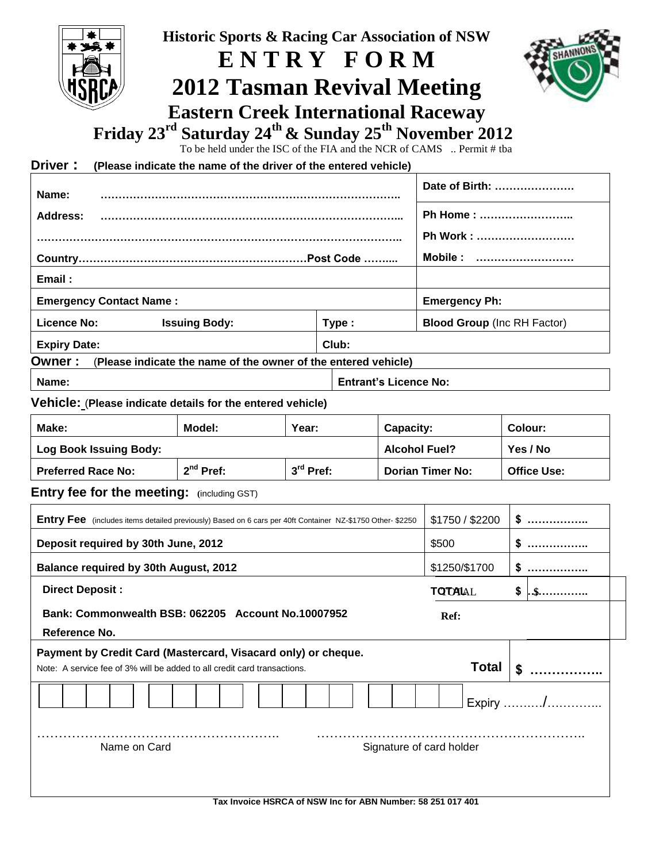| <b>Historic Sports &amp; Racing Car Association of NSW</b><br>ENTRY FORM<br><b>2012 Tasman Revival Meeting</b><br><b>Eastern Creek International Raceway</b><br>Friday 23 <sup>rd</sup> Saturday 24 <sup>th</sup> & Sunday 25 <sup>th</sup> November 2012<br>To be held under the ISC of the FIA and the NCR of CAMS  Permit # tba<br>Driver:<br>(Please indicate the name of the driver of the entered vehicle) |                                                                |             |                              |           |                                    |                      |                      |          |  |
|------------------------------------------------------------------------------------------------------------------------------------------------------------------------------------------------------------------------------------------------------------------------------------------------------------------------------------------------------------------------------------------------------------------|----------------------------------------------------------------|-------------|------------------------------|-----------|------------------------------------|----------------------|----------------------|----------|--|
|                                                                                                                                                                                                                                                                                                                                                                                                                  |                                                                |             |                              |           |                                    | Date of Birth:       |                      |          |  |
| Name:<br>Address:                                                                                                                                                                                                                                                                                                                                                                                                |                                                                |             |                              |           |                                    | Ph Home:             |                      |          |  |
|                                                                                                                                                                                                                                                                                                                                                                                                                  |                                                                |             |                              |           |                                    | Ph Work :            |                      |          |  |
|                                                                                                                                                                                                                                                                                                                                                                                                                  |                                                                |             |                              |           |                                    | Mobile :             |                      |          |  |
| Email:                                                                                                                                                                                                                                                                                                                                                                                                           |                                                                |             |                              |           |                                    |                      |                      |          |  |
| <b>Emergency Contact Name:</b>                                                                                                                                                                                                                                                                                                                                                                                   |                                                                |             |                              |           |                                    |                      | <b>Emergency Ph:</b> |          |  |
| <b>Licence No:</b>                                                                                                                                                                                                                                                                                                                                                                                               | <b>Issuing Body:</b>                                           |             |                              |           | <b>Blood Group (Inc RH Factor)</b> |                      |                      |          |  |
| <b>Expiry Date:</b>                                                                                                                                                                                                                                                                                                                                                                                              |                                                                |             | Type:<br>Club:               |           |                                    |                      |                      |          |  |
| Owner:                                                                                                                                                                                                                                                                                                                                                                                                           | (Please indicate the name of the owner of the entered vehicle) |             |                              |           |                                    |                      |                      |          |  |
| Name:                                                                                                                                                                                                                                                                                                                                                                                                            |                                                                |             | <b>Entrant's Licence No:</b> |           |                                    |                      |                      |          |  |
| Vehicle: (Please indicate details for the entered vehicle)                                                                                                                                                                                                                                                                                                                                                       |                                                                |             |                              |           |                                    |                      |                      |          |  |
| Make:                                                                                                                                                                                                                                                                                                                                                                                                            | Model:                                                         | Year:       |                              | Capacity: |                                    |                      | Colour:              |          |  |
| <b>Log Book Issuing Body:</b>                                                                                                                                                                                                                                                                                                                                                                                    |                                                                |             |                              |           |                                    | <b>Alcohol Fuel?</b> |                      | Yes / No |  |
| <b>Preferred Race No:</b>                                                                                                                                                                                                                                                                                                                                                                                        | 2 <sup>nd</sup> Pref:                                          | $3rd$ Pref: |                              |           | <b>Dorian Timer No:</b>            |                      | <b>Office Use:</b>   |          |  |
| Entry fee for the meeting: (including GST)                                                                                                                                                                                                                                                                                                                                                                       |                                                                |             |                              |           |                                    |                      |                      |          |  |
| Entry Fee (includes items detailed previously) Based on 6 cars per 40ft Container NZ-\$1750 Other- \$2250                                                                                                                                                                                                                                                                                                        |                                                                |             |                              |           |                                    |                      | \$1750 / \$2200      | $S$      |  |
| Deposit required by 30th June, 2012                                                                                                                                                                                                                                                                                                                                                                              |                                                                |             |                              |           |                                    | \$500                |                      | \$       |  |
|                                                                                                                                                                                                                                                                                                                                                                                                                  |                                                                |             |                              |           |                                    | \$1250/\$1700        |                      |          |  |
| Balance required by 30th August, 2012                                                                                                                                                                                                                                                                                                                                                                            |                                                                |             |                              |           |                                    |                      |                      |          |  |
| <b>Direct Deposit:</b>                                                                                                                                                                                                                                                                                                                                                                                           |                                                                |             |                              |           |                                    | <b>TOTAL</b>         |                      | S        |  |
| Bank: Commonwealth BSB: 062205 Account No.10007952<br>Reference No.                                                                                                                                                                                                                                                                                                                                              |                                                                |             |                              |           |                                    | Ref:                 |                      |          |  |
| Payment by Credit Card (Mastercard, Visacard only) or cheque.<br>Note: A service fee of 3% will be added to all credit card transactions.                                                                                                                                                                                                                                                                        |                                                                |             |                              |           |                                    |                      | <b>Total</b>         |          |  |
|                                                                                                                                                                                                                                                                                                                                                                                                                  |                                                                |             |                              |           |                                    |                      |                      | Expiry / |  |
| Name on Card<br>Signature of card holder                                                                                                                                                                                                                                                                                                                                                                         |                                                                |             |                              |           |                                    |                      |                      |          |  |